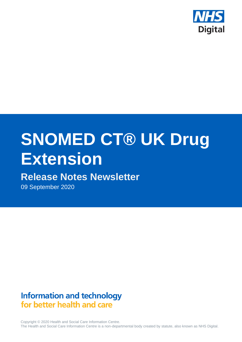

# **SNOMED CT® UK Drug Extension**

## **Release Notes Newsletter**

09 September 2020

**Information and technology** for better health and care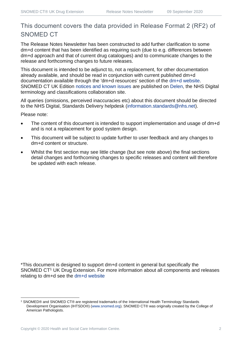## This document covers the data provided in Release Format 2 (RF2) of SNOMED CT

The Release Notes Newsletter has been constructed to add further clarification to some dm+d content that has been identified as requiring such (due to e.g. differences between dm+d approach and that of current drug catalogues) and to communicate changes to the release and forthcoming changes to future releases.

This document is intended to be adjunct to, not a replacement, for other documentation already available, and should be read in conjunction with current published dm+d documentation available through the 'dm+d resources' section of the [dm+d website.](https://www.nhsbsa.nhs.uk/pharmacies-gp-practices-and-appliance-contractors/dictionary-medicines-and-devices-dmd) SNOMED CT UK Edition [notices and known issues](https://hscic.kahootz.com/connect.ti/t_c_home/view?objectId=14224752) are published on [Delen,](https://hscic.kahootz.com/connect.ti/t_c_home) the NHS Digital terminology and classifications collaboration site.

All queries (omissions, perceived inaccuracies etc) about this document should be directed to the NHS Digital, Standards Delivery helpdesk [\(information.standards@nhs.net\)](mailto:information.standards@nhs.net).

Please note:

- The content of this document is intended to support implementation and usage of dm+d and is not a replacement for good system design.
- This document will be subject to update further to user feedback and any changes to dm+d content or structure.
- Whilst the first section may see little change (but see note above) the final sections detail changes and forthcoming changes to specific releases and content will therefore be updated with each release.

\*This document is designed to support dm+d content in general but specifically the SNOMED CT<sup>1</sup> UK Drug Extension. For more information about all components and releases relating to dm+d see the [dm+d website](https://www.nhsbsa.nhs.uk/pharmacies-gp-practices-and-appliance-contractors/dictionary-medicines-and-devices-dmd)

<sup>1</sup> SNOMED® and SNOMED CT® are registered trademarks of the International Health Terminology Standards Development Organisation (IHTSDO®) [\(www.snomed.org\)](http://www.snomed.org/). SNOMED CT® was originally created by the College of American Pathologists.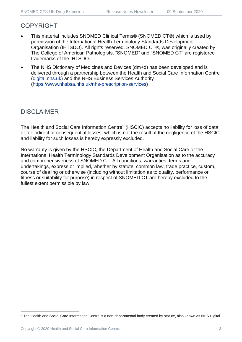## COPYRIGHT

- This material includes SNOMED Clinical Terms® (SNOMED CT®) which is used by permission of the International Health Terminology Standards Development Organisation (IHTSDO). All rights reserved. SNOMED CT®, was originally created by The College of American Pathologists. "SNOMED" and "SNOMED CT" are registered trademarks of the IHTSDO.
- The NHS Dictionary of Medicines and Devices (dm+d) has been developed and is delivered through a partnership between the Health and Social Care Information Centre [\(digital.nhs.uk\)](https://digital.nhs.uk/) and the NHS Business Services Authority [\(https://www.nhsbsa.nhs.uk/nhs-prescription-services\)](https://www.nhsbsa.nhs.uk/nhs-prescription-services)

## DISCLAIMER

The Health and Social Care Information Centre<sup>2</sup> (HSCIC) accepts no liability for loss of data or for indirect or consequential losses, which is not the result of the negligence of the HSCIC and liability for such losses is hereby expressly excluded.

No warranty is given by the HSCIC, the Department of Health and Social Care or the International Health Terminology Standards Development Organisation as to the accuracy and comprehensiveness of SNOMED CT. All conditions, warranties, terms and undertakings, express or implied, whether by statute, common law, trade practice, custom, course of dealing or otherwise (including without limitation as to quality, performance or fitness or suitability for purpose) in respect of SNOMED CT are hereby excluded to the fullest extent permissible by law.

<sup>&</sup>lt;sup>2</sup> The Health and Social Care Information Centre is a non-departmental body created by statute, also known as NHS Digital.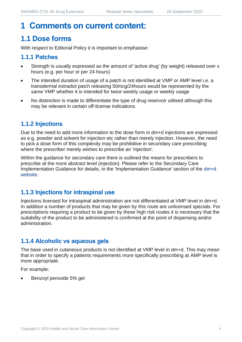## **1 Comments on current content:**

## **1.1 Dose forms**

With respect to Editorial Policy it is important to emphasise:

#### **1.1.1 Patches**

- Strength is usually expressed as the amount of 'active drug' (by weight) released over x hours (e.g. per hour or per 24 hours)
- The intended duration of usage of a patch is not identified at VMP or AMP level i.e. a transdermal estradiol patch releasing 50mcg/24hours would be represented by the same VMP whether it is intended for twice weekly usage or weekly usage
- No distinction is made to differentiate the type of drug reservoir utilised although this may be relevant in certain off-license indications.

#### **1.1.2 Injections**

Due to the need to add more information to the dose form in dm+d injections are expressed as e.g. powder and solvent for injection etc rather than merely injection. However, the need to pick a dose form of this complexity may be prohibitive in secondary care prescribing where the prescriber merely wishes to prescribe an 'injection'.

Within the guidance for secondary care there is outlined the means for prescribers to prescribe at the more abstract level (injection). Please refer to the Secondary Care Implementation Guidance for details, in the 'Implementation Guidance' section of the [dm+d](https://www.nhsbsa.nhs.uk/pharmacies-gp-practices-and-appliance-contractors/dictionary-medicines-and-devices-dmd)  [website.](https://www.nhsbsa.nhs.uk/pharmacies-gp-practices-and-appliance-contractors/dictionary-medicines-and-devices-dmd)

#### **1.1.3 Injections for intraspinal use**

Injections licensed for intraspinal administration are not differentiated at VMP level in dm+d. In addition a number of products that may be given by this route are unlicensed specials. For prescriptions requiring a product to be given by these high risk routes it is necessary that the suitability of the product to be administered is confirmed at the point of dispensing and/or administration.

#### **1.1.4 Alcoholic vs aqueous gels**

The base used in cutaneous products is not identified at VMP level in dm+d. This may mean that in order to specify a patients requirements more specifically prescribing at AMP level is more appropriate.

For example:

• Benzoyl peroxide 5% gel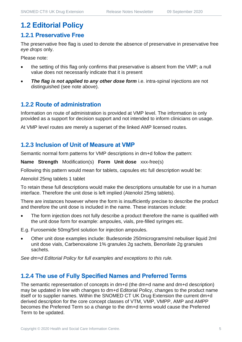## **1.2 Editorial Policy**

#### **1.2.1 Preservative Free**

The preservative free flag is used to denote the absence of preservative in preservative free *eye drops* only.

Please note:

- the setting of this flag only confirms that preservative is absent from the VMP; a null value does not necessarily indicate that it is present
- **The flag is not applied to any other dose form** i.e. intra-spinal injections are not distinguished (see note above).

#### **1.2.2 Route of administration**

Information on route of administration is provided at VMP level. The information is only provided as a support for decision support and not intended to inform clinicians on usage.

At VMP level routes are merely a superset of the linked AMP licensed routes.

#### **1.2.3 Inclusion of Unit of Measure at VMP**

Semantic normal form patterns for VMP descriptions in dm+d follow the pattern:

**Name Strength** Modification(s) **Form Unit dose** xxx-free(s)

Following this pattern would mean for tablets, capsules etc full description would be:

Atenolol 25mg tablets 1 tablet

To retain these full descriptions would make the descriptions unsuitable for use in a human interface. Therefore the unit dose is left implied (Atenolol 25mg tablets).

There are instances however where the form is insufficiently precise to describe the product and therefore the unit dose is included in the name. These instances include:

The form injection does not fully describe a product therefore the name is qualified with the unit dose form for example: ampoules, vials, pre-filled syringes etc.

E.g. Furosemide 50mg/5ml solution for injection ampoules.

• Other unit dose examples include: Budesonide 250micrograms/ml nebuliser liquid 2ml unit dose vials, Carbenoxalone 1% granules 2g sachets, Benorilate 2g granules sachets.

*See dm+d Editorial Policy for full examples and exceptions to this rule.*

#### **1.2.4 The use of Fully Specified Names and Preferred Terms**

The semantic representation of concepts in dm+d (the dm+d name and dm+d description) may be updated in line with changes to dm+d Editorial Policy, changes to the product name itself or to supplier names. Within the SNOMED CT UK Drug Extension the current dm+d derived description for the core concept classes of VTM, VMP, VMPP, AMP and AMPP becomes the Preferred Term so a change to the dm+d terms would cause the Preferred Term to be updated.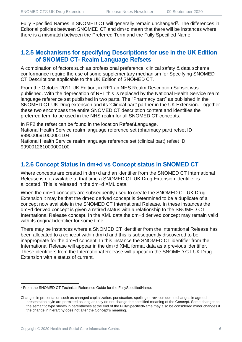Fully Specified Names in SNOMED CT will generally remain unchanged<sup>3</sup>. The differences in Editorial policies between SNOMED CT and dm+d mean that there will be instances where there is a mismatch between the Preferred Term and the Fully Specified Name.

#### **1.2.5 Mechanisms for specifying Descriptions for use in the UK Edition of SNOMED CT- Realm Language Refsets**

A combination of factors such as professional preference, clinical safety & data schema conformance require the use of some supplementary mechanism for Specifying SNOMED CT Descriptions applicable to the UK Edition of SNOMED CT.

From the October 2011 UK Edition, in RF1 an NHS Realm Description Subset was published. With the deprecation of RF1 this is replaced by the National Health Service realm language reference set published in two parts. The "Pharmacy part" as published in the SNOMED CT UK Drug extension and its 'Clinical part' partner in the UK Extension. Together these two encompass the entire SNOMED CT description content and identifies the preferred term to be used in the NHS realm for all SNOMED CT concepts.

In RF2 the refset can be found in the location Refset\Language. National Health Service realm language reference set (pharmacy part) refset ID 999000691000001104

National Health Service realm language reference set (clinical part) refset ID 999001261000000100

#### **1.2.6 Concept Status in dm+d vs Concept status in SNOMED CT**

Where concepts are created in dm+d and an identifier from the SNOMED CT International Release is not available at that time a SNOMED CT UK Drug Extension identifier is allocated. This is released in the dm+d XML data.

When the dm+d concepts are subsequently used to create the SNOMED CT UK Drug Extension it may be that the dm+d derived concept is determined to be a duplicate of a concept now available in the SNOMED CT International Release. In these instances the dm+d derived concept is given a retired status with a relationship to the SNOMED CT International Release concept. In the XML data the dm+d derived concept may remain valid with its original identifier for some time.

There may be instances where a SNOMED CT identifier from the International Release has been allocated to a concept within dm+d and this is subsequently discovered to be inappropriate for the dm+d concept. In this instance the SNOMED CT identifier from the International Release will appear in the dm+d XML format data as a previous identifier. These identifiers from the International Release will appear in the SNOMED CT UK Drug Extension with a status of current.

<sup>3</sup> From the SNOMED CT Technical Reference Guide for the FullySpecifiedName:

Changes in presentation such as changed capitalization, punctuation, spelling or revision due to changes in agreed presentation style are permitted as long as they do not change the specified meaning of the Concept. Some changes to the semantic type shown in parentheses at the end of the FullySpecifiedName may also be considered minor changes if the change in hierarchy does not alter the Concept's meaning.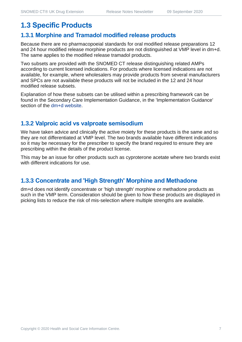## **1.3 Specific Products**

#### **1.3.1 Morphine and Tramadol modified release products**

Because there are no pharmacopoeial standards for oral modified release preparations 12 and 24 hour modified release morphine products are not distinguished at VMP level in dm+d. The same applies to the modified release tramadol products.

Two subsets are provided with the SNOMED CT release distinguishing related AMPs according to current licensed indications. For products where licensed indications are not available, for example, where wholesalers may provide products from several manufacturers and SPCs are not available these products will not be included in the 12 and 24 hour modified release subsets.

Explanation of how these subsets can be utilised within a prescribing framework can be found in the Secondary Care Implementation Guidance, in the 'Implementation Guidance' section of the [dm+d website.](https://www.nhsbsa.nhs.uk/pharmacies-gp-practices-and-appliance-contractors/dictionary-medicines-and-devices-dmd)

#### **1.3.2 Valproic acid vs valproate semisodium**

We have taken advice and clinically the active moiety for these products is the same and so they are not differentiated at VMP level. The two brands available have different indications so it may be necessary for the prescriber to specify the brand required to ensure they are prescribing within the details of the product license.

This may be an issue for other products such as cyproterone acetate where two brands exist with different indications for use.

#### **1.3.3 Concentrate and 'High Strength' Morphine and Methadone**

dm+d does not identify concentrate or 'high strength' morphine or methadone products as such in the VMP term. Consideration should be given to how these products are displayed in picking lists to reduce the risk of mis-selection where multiple strengths are available.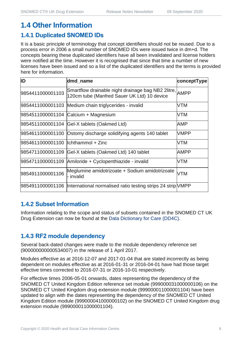## **1.4 Other Information**

#### **1.4.1 Duplicated SNOMED IDs**

It is a basic principle of terminology that concept identifiers should not be reused. Due to a process error in 2006 a small number of SNOMED IDs were issued twice in dm+d. The concepts bearing these duplicated identifiers have all been invalidated and license holders were notified at the time. However it is recognised that since that time a number of new licenses have been issued and so a list of the duplicated identifiers and the terms is provided here for information.

| ID                                   | dmd_name                                                                                               | conceptType |
|--------------------------------------|--------------------------------------------------------------------------------------------------------|-------------|
| 9854411000001103                     | Smartflow drainable night drainage bag NB2 2litre, AMPP<br>120cm tube (Manfred Sauer UK Ltd) 10 device |             |
|                                      | 9854411000001103 Medium chain triglycerides - invalid                                                  | VTM         |
|                                      | 9854511000001104 Calcium + Magnesium                                                                   | VTM         |
|                                      | 9854511000001104 Gel-X tablets (Oakmed Ltd)                                                            | AMP         |
|                                      | 9854611000001100 Ostomy discharge solidifying agents 140 tablet                                        | <b>VMPP</b> |
| 9854611000001100   Ichthammol + Zinc |                                                                                                        | VTM         |
|                                      | 9854711000001109 Gel-X tablets (Oakmed Ltd) 140 tablet                                                 | AMPP        |
|                                      | 9854711000001109 Amiloride + Cyclopenthiazide - invalid                                                | VTM         |
| 9854911000001106                     | Meglumine amidotrizoate + Sodium amidotrizoate<br>- invalid                                            | <b>VTM</b>  |
|                                      | 9854911000001106  International normalised ratio testing strips 24 strip VMPP                          |             |

#### **1.4.2 Subset Information**

Information relating to the scope and status of subsets contained in the SNOMED CT UK Drug Extension can now be found at the [Data Dictionary for Care \(DD4C\).](https://dd4c.digital.nhs.uk/dd4c/)

#### **1.4.3 RF2 module dependency**

Several back-dated changes were made to the module dependency reference set (900000000000534007) in the release of 1 April 2017.

Modules effective as at 2016-12-07 and 2017-01-04 that are stated incorrectly as being dependent on modules effective as at 2016-01-31 or 2016-04-01 have had those target effective times corrected to 2016-07-31 or 2016-10-01 respectively.

For effective times 2006-05-01 onwards, dates representing the dependency of the SNOMED CT United Kingdom Edition reference set module (999000031000000106) on the SNOMED CT United Kingdom drug extension module (999000011000001104) have been updated to align with the dates representing the dependency of the SNOMED CT United Kingdom Edition module (999000041000000102) on the SNOMED CT United Kingdom drug extension module (999000011000001104).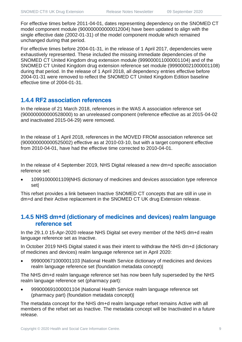For effective times before 2011-04-01, dates representing dependency on the SNOMED CT model component module (900000000000012004) have been updated to align with the single effective date (2002-01-31) of the model component module which remained unchanged during that period.

For effective times before 2004-01-31, in the release of 1 April 2017, dependencies were exhaustively represented. These included the missing immediate dependencies of the SNOMED CT United Kingdom drug extension module (999000011000001104) and of the SNOMED CT United Kingdom drug extension reference set module (999000021000001108) during that period. In the release of 1 April 2018, all dependency entries effective before 2004-01-31 were removed to reflect the SNOMED CT United Kingdom Edition baseline effective time of 2004-01-31.

#### **1.4.4 RF2 association references**

In the release of 21 March 2018, references in the WAS A association reference set (900000000000528000) to an unreleased component (reference effective as at 2015-04-02 and inactivated 2015-04-29) were removed.

In the release of 1 April 2018, references in the MOVED FROM association reference set (900000000000525002) effective as at 2010-03-10, but with a target component effective from 2010-04-01, have had the effective time corrected to 2010-04-01.

In the release of 4 September 2019, NHS Digital released a new dm+d specific association reference set:

• 10991000001109|NHS dictionary of medicines and devices association type reference set|

This refset provides a link between Inactive SNOMED CT concepts that are still in use in dm+d and their Active replacement in the SNOMED CT UK drug Extension release.

#### **1.4.5 NHS dm+d (dictionary of medicines and devices) realm language reference set**

In the 29.1.0 15-Apr-2020 release NHS Digital set every member of the NHS dm+d realm language reference set as Inactive.

In October 2019 NHS Digital stated it was their intent to withdraw the NHS dm+d (dictionary of medicines and devices) realm language reference set in April 2020:

• 999000671000001103 |National Health Service dictionary of medicines and devices realm language reference set (foundation metadata concept)|

The NHS dm+d realm language reference set has now been fully superseded by the NHS realm language reference set (pharmacy part):

• 999000691000001104 |National Health Service realm language reference set (pharmacy part) (foundation metadata concept)|

The metadata concept for the NHS dm+d realm language refset remains Active with all members of the refset set as Inactive. The metadata concept will be Inactivated in a future release.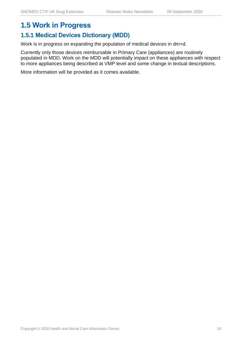## **1.5 Work in Progress**

## **1.5.1 Medical Devices Dictionary (MDD)**

Work is in progress on expanding the population of medical devices in dm+d.

Currently only those devices reimbursable in Primary Care (appliances) are routinely populated in MDD. Work on the MDD will potentially impact on these appliances with respect to more appliances being described at VMP level and some change in textual descriptions.

More information will be provided as it comes available.